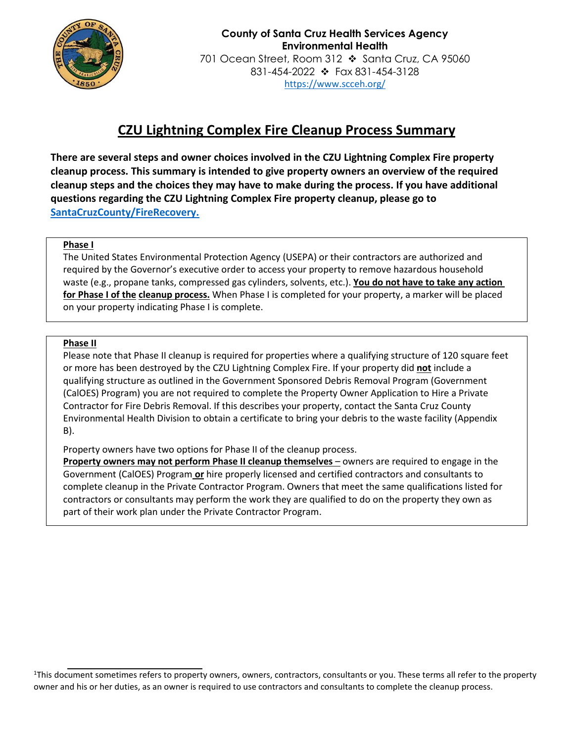

# **CZU Lightning Complex Fire Cleanup Process Summary**

**There are several steps and owner choices involved in the CZU Lightning Complex Fire property cleanup process. This summary is intended to give property owners an overview of the required cleanup steps and the choices they may have to make during the process. If you have additional questions regarding the CZU Lightning Complex Fire property cleanup, please go to [SantaCruzCounty/FireRecovery.](https://www.santacruzcounty.us/FireRecovery.aspx)**

#### **Phase I**

The United States Environmental Protection Agency (USEPA) or their contractors are authorized and required by the Governor's executive order to access your property to remove hazardous household waste (e.g., propane tanks, compressed gas cylinders, solvents, etc.). **You do not have to take any action for Phase I of the cleanup process.** When Phase I is completed for your property, a marker will be placed on your property indicating Phase I is complete.

#### **Phase II**

Please note that Phase II cleanup is required for properties where a qualifying structure of 120 square feet or more has been destroyed by the CZU Lightning Complex Fire. If your property did **not** include a qualifying structure as outlined in the Government Sponsored Debris Removal Program (Government (CalOES) Program) you are not required to complete the Property Owner Application to Hire a Private Contractor for Fire Debris Removal. If this describes your property, contact the Santa Cruz County Environmental Health Division to obtain a certificate to bring your debris to the waste facility (Appendix B).

Property owners have two options for Phase II of the cleanup process.

**Property owners may not perform Phase II cleanup themselves** – owners are required to engage in the Government (CalOES) Program **or** hire properly licensed and certified contractors and consultants to complete cleanup in the Private Contractor Program. Owners that meet the same qualifications listed for contractors or consultants may perform the work they are qualified to do on the property they own as part of their work plan under the Private Contractor Program.

<sup>&</sup>lt;sup>1</sup>This document sometimes refers to property owners, owners, contractors, consultants or you. These terms all refer to the property owner and his or her duties, as an owner is required to use contractors and consultants to complete the cleanup process.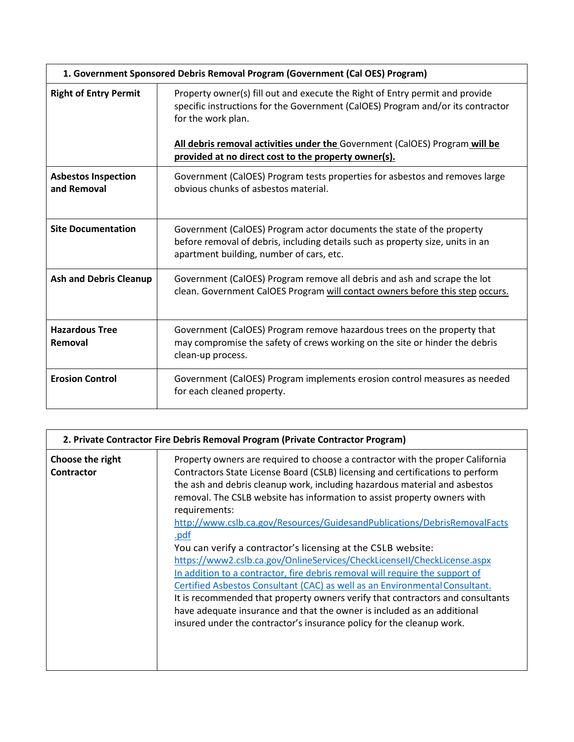| 1. Government Sponsored Debris Removal Program (Government (Cal OES) Program) |                                                                                                                                                                                                                                                                                                                              |  |
|-------------------------------------------------------------------------------|------------------------------------------------------------------------------------------------------------------------------------------------------------------------------------------------------------------------------------------------------------------------------------------------------------------------------|--|
| <b>Right of Entry Permit</b>                                                  | Property owner(s) fill out and execute the Right of Entry permit and provide<br>specific instructions for the Government (CalOES) Program and/or its contractor<br>for the work plan.<br>All debris removal activities under the Government (CalOES) Program will be<br>provided at no direct cost to the property owner(s). |  |
| <b>Asbestos Inspection</b><br>and Removal                                     | Government (CalOES) Program tests properties for asbestos and removes large<br>obvious chunks of asbestos material.                                                                                                                                                                                                          |  |
| <b>Site Documentation</b>                                                     | Government (CalOES) Program actor documents the state of the property<br>before removal of debris, including details such as property size, units in an<br>apartment building, number of cars, etc.                                                                                                                          |  |
| <b>Ash and Debris Cleanup</b>                                                 | Government (CalOES) Program remove all debris and ash and scrape the lot<br>clean. Government CalOES Program will contact owners before this step occurs.                                                                                                                                                                    |  |
| <b>Hazardous Tree</b><br>Removal                                              | Government (CalOES) Program remove hazardous trees on the property that<br>may compromise the safety of crews working on the site or hinder the debris<br>clean-up process.                                                                                                                                                  |  |
| <b>Erosion Control</b>                                                        | Government (CalOES) Program implements erosion control measures as needed<br>for each cleaned property.                                                                                                                                                                                                                      |  |

| 2. Private Contractor Fire Debris Removal Program (Private Contractor Program) |                                                                                                                                                                                                                                                                                                                                                                                                                                                                                                                                                                                                                                                                                                                                                                                                                                                                                                                                                                                          |  |
|--------------------------------------------------------------------------------|------------------------------------------------------------------------------------------------------------------------------------------------------------------------------------------------------------------------------------------------------------------------------------------------------------------------------------------------------------------------------------------------------------------------------------------------------------------------------------------------------------------------------------------------------------------------------------------------------------------------------------------------------------------------------------------------------------------------------------------------------------------------------------------------------------------------------------------------------------------------------------------------------------------------------------------------------------------------------------------|--|
| Choose the right<br><b>Contractor</b>                                          | Property owners are required to choose a contractor with the proper California<br>Contractors State License Board (CSLB) licensing and certifications to perform<br>the ash and debris cleanup work, including hazardous material and asbestos<br>removal. The CSLB website has information to assist property owners with<br>requirements:<br>http://www.cslb.ca.gov/Resources/GuidesandPublications/DebrisRemovalFacts<br><u>.pdf</u><br>You can verify a contractor's licensing at the CSLB website:<br>https://www2.cslb.ca.gov/OnlineServices/CheckLicenseII/CheckLicense.aspx<br>In addition to a contractor, fire debris removal will require the support of<br>Certified Asbestos Consultant (CAC) as well as an Environmental Consultant.<br>It is recommended that property owners verify that contractors and consultants<br>have adequate insurance and that the owner is included as an additional<br>insured under the contractor's insurance policy for the cleanup work. |  |